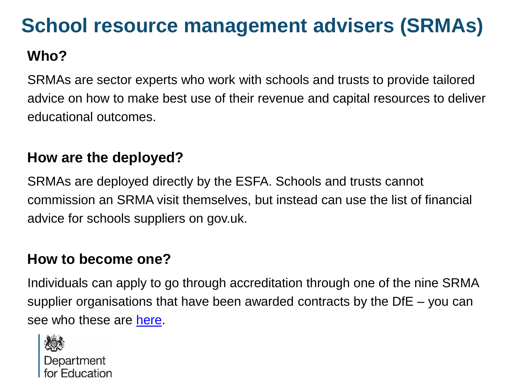### **School resource management advisers (SRMAs)**

#### **Who?**

SRMAs are sector experts who work with schools and trusts to provide tailored advice on how to make best use of their revenue and capital resources to deliver educational outcomes.

#### **How are the deployed?**

SRMAs are deployed directly by the ESFA. Schools and trusts cannot commission an SRMA visit themselves, but instead can use the list of financial advice for schools suppliers on gov.uk.

#### **How to become one?**

Individuals can apply to go through accreditation through one of the nine SRMA supplier organisations that have been awarded contracts by the DfE – you can see who these are [here](https://www.gov.uk/government/news/esfa-extends-schools-resource-management-adviser-pilot).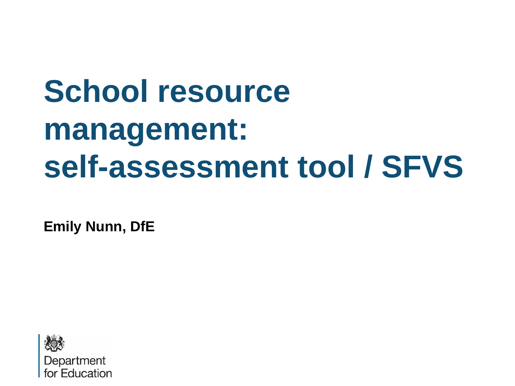# **School resource management: self-assessment tool / SFVS**

**Emily Nunn, DfE**

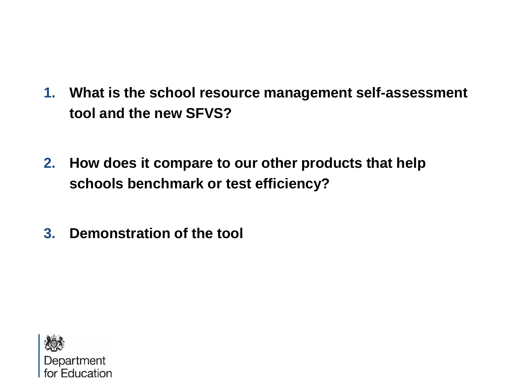- **1. What is the school resource management self-assessment tool and the new SFVS?**
- **2. How does it compare to our other products that help schools benchmark or test efficiency?**
- **3. Demonstration of the tool**

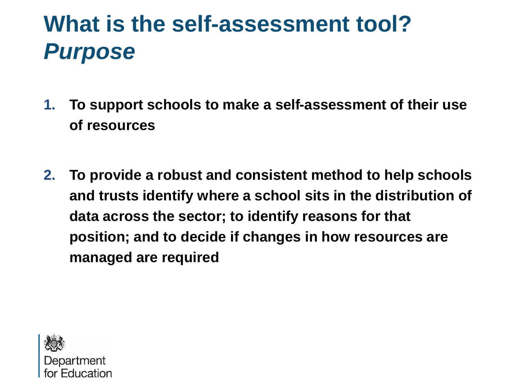# **What is the self-assessment tool?** *Purpose*

- **1. To support schools to make a self-assessment of their use of resources**
- **2. To provide a robust and consistent method to help schools and trusts identify where a school sits in the distribution of data across the sector; to identify reasons for that position; and to decide if changes in how resources are managed are required**

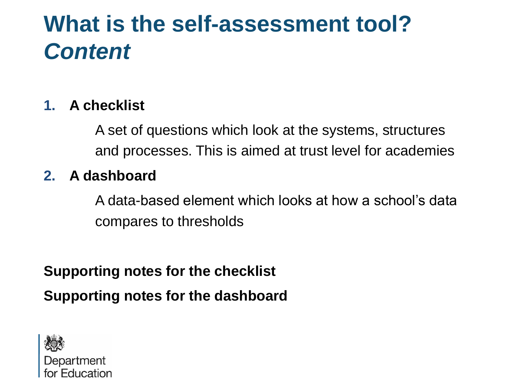## **What is the self-assessment tool?** *Content*

#### **1. A checklist**

A set of questions which look at the systems, structures and processes. This is aimed at trust level for academies

#### **2. A dashboard**

A data-based element which looks at how a school's data compares to thresholds

**Supporting notes for the checklist Supporting notes for the dashboard**

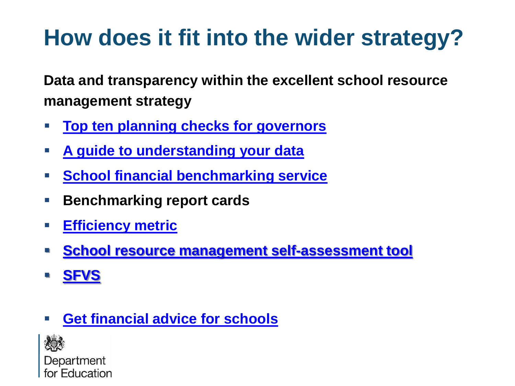# **How does it fit into the wider strategy?**

**Data and transparency within the excellent school resource management strategy**

- **[Top ten planning checks for governors](https://www.gov.uk/guidance/school-resource-management-top-10-planning-checks-for-governors)**
- **[A guide to understanding your data](https://www.gov.uk/government/publications/understanding-your-data-a-guide-for-school-governors-and-academy-trustees)**
- **FILE** [School financial benchmarking service](https://schools-financial-benchmarking.service.gov.uk/)
- **Benchmarking report cards**
- **[Efficiency metric](https://www.gov.uk/government/publications/schools-financial-efficiency-metric-tool)**
- **[School resource management self-assessment tool](https://www.gov.uk/government/publications/school-resource-management-self-assessment-tool)**
- **[SFVS](https://www.gov.uk/government/publications/schools-financial-value-standard-sfvs)**
- **F** [Get financial advice for schools](https://www.gov.uk/government/publications/schools-financial-health-checks-supplier-directory)

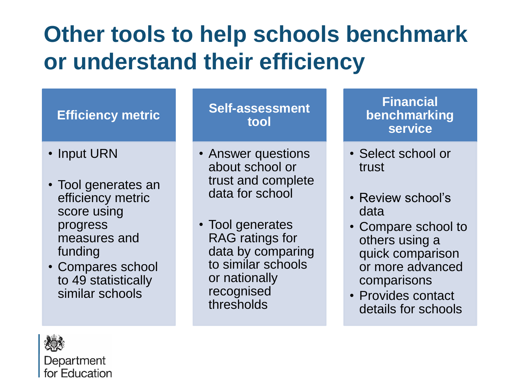# **Other tools to help schools benchmark or understand their efficiency**

#### **Efficiency metric**

- Input URN
- Tool generates an efficiency metric score using progress measures and funding
- Compares school to 49 statistically similar schools

#### **Self-assessment tool**

- Answer questions about school or trust and complete data for school
- Tool generates RAG ratings for data by comparing to similar schools or nationally recognised thresholds

#### **Financial benchmarking service**

- Select school or trust
- Review school's data
- Compare school to others using a quick comparison or more advanced comparisons
- Provides contact details for schools

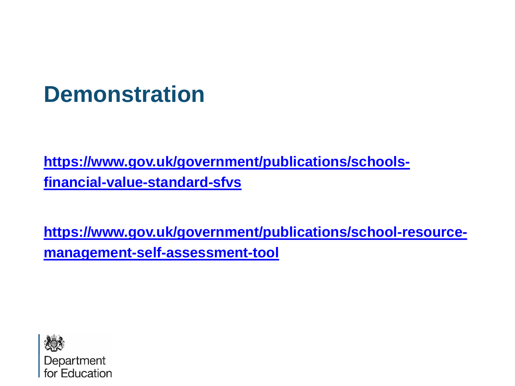### **Demonstration**

**[https://www.gov.uk/government/publications/schools](https://www.gov.uk/government/publications/schools-financial-value-standard-sfvs)financial-value-standard-sfvs**

**[https://www.gov.uk/government/publications/school-resource](https://www.gov.uk/government/publications/school-resource-management-self-assessment-tool)management-self-assessment-tool**